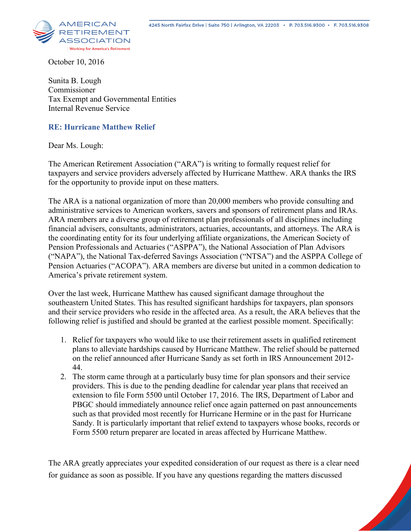

October 10, 2016

Sunita B. Lough Commissioner Tax Exempt and Governmental Entities Internal Revenue Service

## **RE: Hurricane Matthew Relief**

Dear Ms. Lough:

The American Retirement Association ("ARA") is writing to formally request relief for taxpayers and service providers adversely affected by Hurricane Matthew. ARA thanks the IRS for the opportunity to provide input on these matters.

The ARA is a national organization of more than 20,000 members who provide consulting and administrative services to American workers, savers and sponsors of retirement plans and IRAs. ARA members are a diverse group of retirement plan professionals of all disciplines including financial advisers, consultants, administrators, actuaries, accountants, and attorneys. The ARA is the coordinating entity for its four underlying affiliate organizations, the American Society of Pension Professionals and Actuaries ("ASPPA"), the National Association of Plan Advisors ("NAPA"), the National Tax-deferred Savings Association ("NTSA") and the ASPPA College of Pension Actuaries ("ACOPA"). ARA members are diverse but united in a common dedication to America's private retirement system.

Over the last week, Hurricane Matthew has caused significant damage throughout the southeastern United States. This has resulted significant hardships for taxpayers, plan sponsors and their service providers who reside in the affected area. As a result, the ARA believes that the following relief is justified and should be granted at the earliest possible moment. Specifically:

- 1. Relief for taxpayers who would like to use their retirement assets in qualified retirement plans to alleviate hardships caused by Hurricane Matthew. The relief should be patterned on the relief announced after Hurricane Sandy as set forth in IRS Announcement 2012- 44.
- 2. The storm came through at a particularly busy time for plan sponsors and their service providers. This is due to the pending deadline for calendar year plans that received an extension to file Form 5500 until October 17, 2016. The IRS, Department of Labor and PBGC should immediately announce relief once again patterned on past announcements such as that provided most recently for Hurricane Hermine or in the past for Hurricane Sandy. It is particularly important that relief extend to taxpayers whose books, records or Form 5500 return preparer are located in areas affected by Hurricane Matthew.

The ARA greatly appreciates your expedited consideration of our request as there is a clear need for guidance as soon as possible. If you have any questions regarding the matters discussed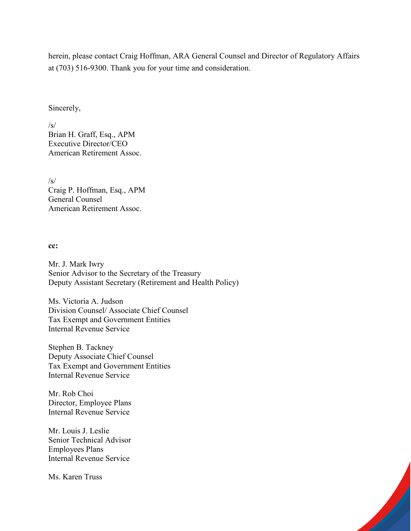herein, please contact Craig Hoffman, ARA General Counsel and Director of Regulatory Affairs at (703) 516-9300. Thank you for your time and consideration.

## Sincerely,

 $\sqrt{s}$ Brian H. Graff, Esq., APM Executive Director/CEO American Retirement Assoc.

/s/ Craig P. Hoffman, Esq., APM General Counsel American Retirement Assoc.

## **cc:**

Mr. J. Mark Iwry Senior Advisor to the Secretary of the Treasury Deputy Assistant Secretary (Retirement and Health Policy)

Ms. Victoria A. Judson Division Counsel/ Associate Chief Counsel Tax Exempt and Government Entities Internal Revenue Service

Stephen B. Tackney Deputy Associate Chief Counsel Tax Exempt and Government Entities Internal Revenue Service

Mr. Rob Choi Director, Employee Plans Internal Revenue Service

Mr. Louis J. Leslie Senior Technical Advisor Employees Plans Internal Revenue Service

Ms. Karen Truss